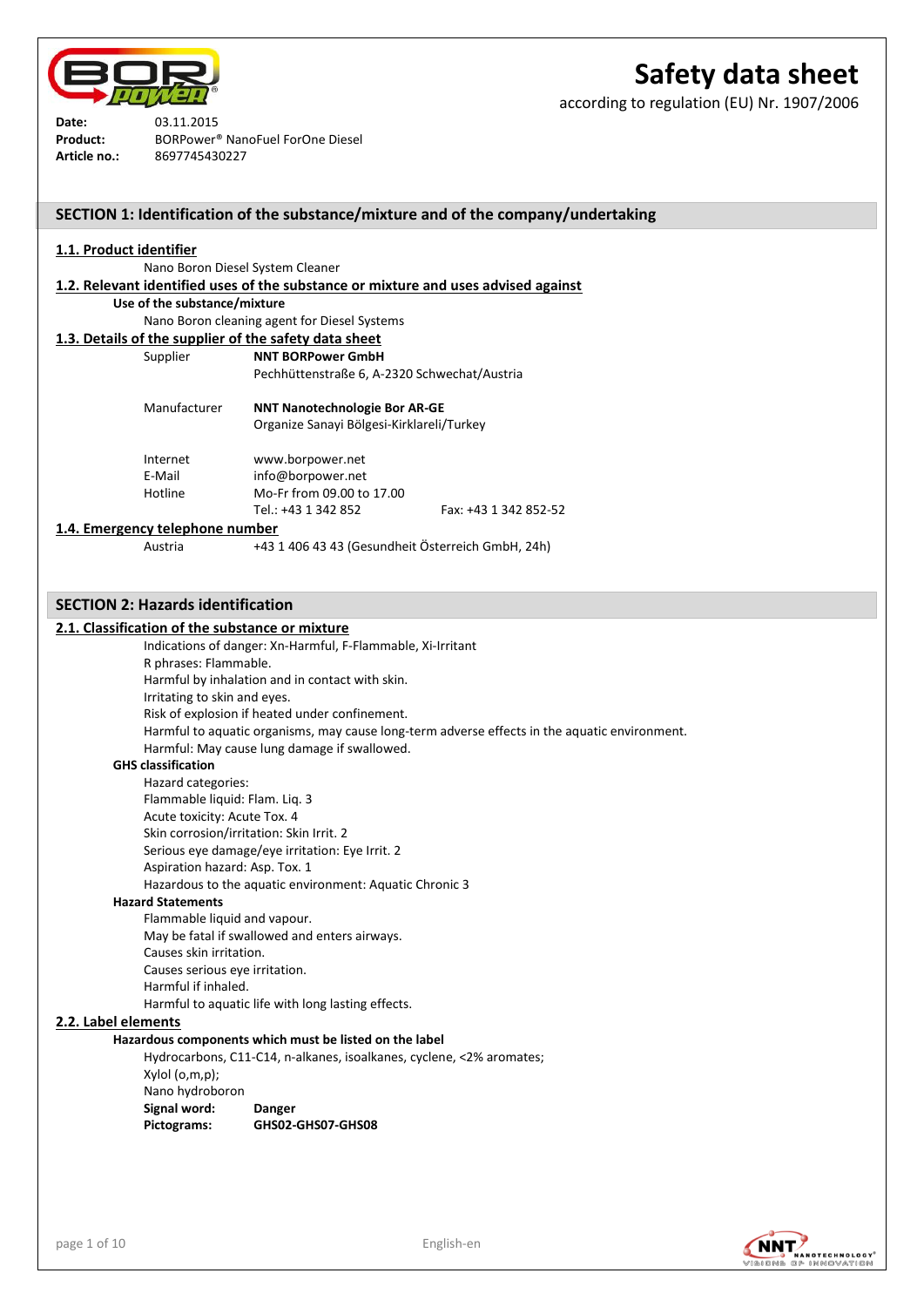

according to regulation (EU) Nr. 1907/2006

| Date:        | 03.11.2015                                   |
|--------------|----------------------------------------------|
| Product:     | BORPower <sup>®</sup> NanoFuel ForOne Diesel |
| Article no.: | 8697745430227                                |

|                                                                                    |                                                   | SECTION 1: Identification of the substance/mixture and of the company/undertaking |
|------------------------------------------------------------------------------------|---------------------------------------------------|-----------------------------------------------------------------------------------|
| 1.1. Product identifier                                                            |                                                   |                                                                                   |
|                                                                                    |                                                   |                                                                                   |
|                                                                                    | Nano Boron Diesel System Cleaner                  |                                                                                   |
| 1.2. Relevant identified uses of the substance or mixture and uses advised against |                                                   |                                                                                   |
| Use of the substance/mixture                                                       |                                                   |                                                                                   |
|                                                                                    | Nano Boron cleaning agent for Diesel Systems      |                                                                                   |
| 1.3. Details of the supplier of the safety data sheet                              |                                                   |                                                                                   |
| Supplier                                                                           | <b>NNT BORPower GmbH</b>                          |                                                                                   |
|                                                                                    | Pechhüttenstraße 6, A-2320 Schwechat/Austria      |                                                                                   |
| Manufacturer                                                                       | <b>NNT Nanotechnologie Bor AR-GE</b>              |                                                                                   |
|                                                                                    | Organize Sanayi Bölgesi-Kirklareli/Turkey         |                                                                                   |
| Internet                                                                           | www.borpower.net                                  |                                                                                   |
| E-Mail                                                                             | info@borpower.net                                 |                                                                                   |
| Hotline                                                                            | Mo-Fr from 09.00 to 17.00                         |                                                                                   |
|                                                                                    | Tel.: +43 1 342 852                               | Fax: +43 1 342 852-52                                                             |
| 1.4. Emergency telephone number                                                    |                                                   |                                                                                   |
| Austria                                                                            | +43 1 406 43 43 (Gesundheit Österreich GmbH, 24h) |                                                                                   |

## **SECTION 2: Hazards identification**

#### **2.1. Classification of the substance or mixture**

Indications of danger: Xn-Harmful, F-Flammable, Xi-Irritant

R phrases: Flammable.

Harmful by inhalation and in contact with skin.

Irritating to skin and eyes.

Risk of explosion if heated under confinement.

Harmful to aquatic organisms, may cause long-term adverse effects in the aquatic environment.

Harmful: May cause lung damage if swallowed.

#### **GHS classification**

Hazard categories: Flammable liquid: Flam. Liq. 3 Acute toxicity: Acute Tox. 4 Skin corrosion/irritation: Skin Irrit. 2 Serious eye damage/eye irritation: Eye Irrit. 2 Aspiration hazard: Asp. Tox. 1 Hazardous to the aquatic environment: Aquatic Chronic 3

## **Hazard Statements**

Flammable liquid and vapour. May be fatal if swallowed and enters airways. Causes skin irritation. Causes serious eye irritation. Harmful if inhaled. Harmful to aquatic life with long lasting effects.

#### **2.2. Label elements**

#### **Hazardous components which must be listed on the label**

Hydrocarbons, C11-C14, n-alkanes, isoalkanes, cyclene, <2% aromates; Xylol (o,m,p); Nano hydroboron **Signal word: Danger Pictograms: GHS02-GHS07-GHS08**

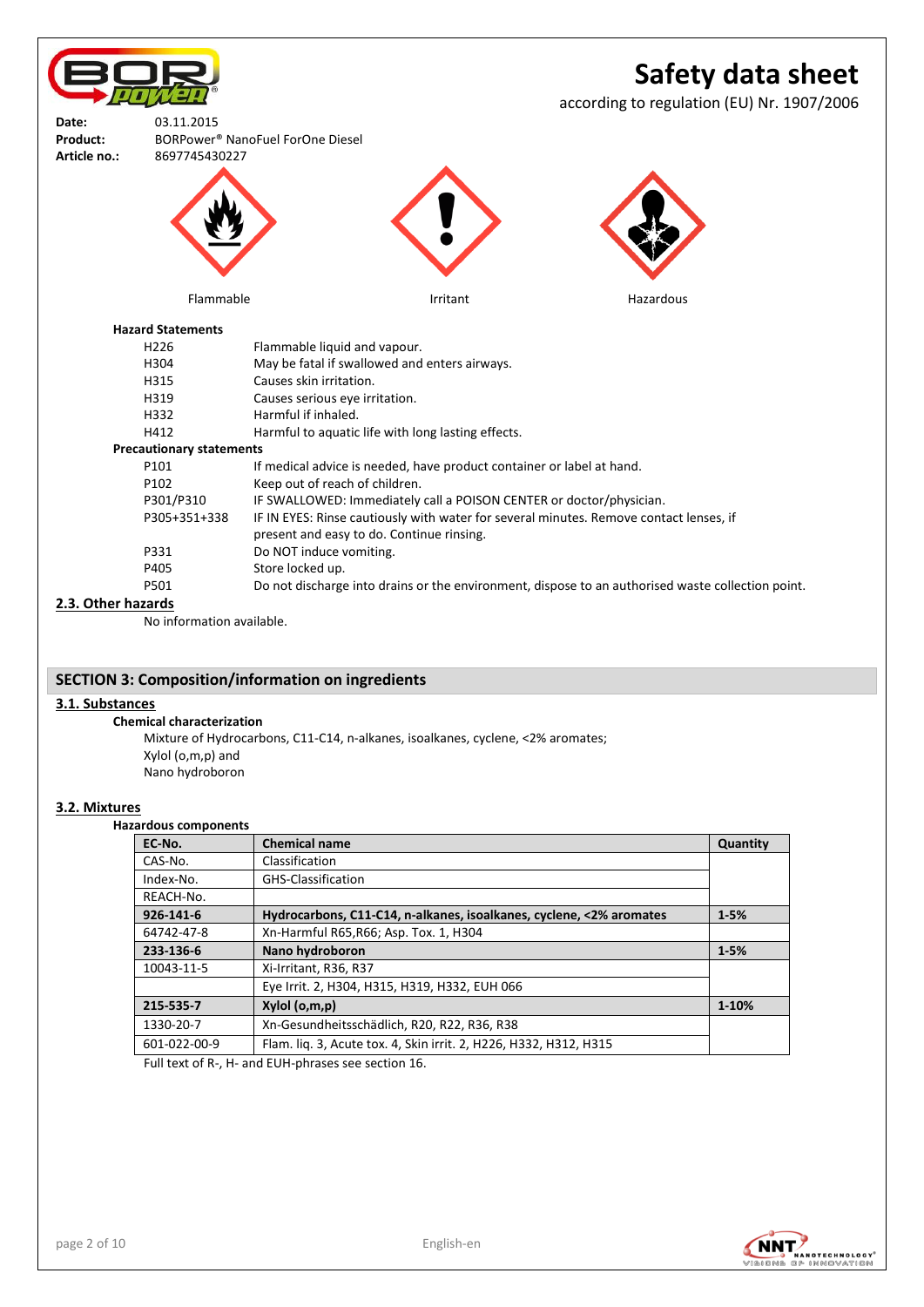**Safety data sheet** according to regulation (EU) Nr. 1907/2006 **Date:** 03.11.2015 **Product:** BORPower® NanoFuel ForOne Diesel **Article no.:** 8697745430227 Flammable **Internal Irritant Hazardous Hazardous** 

#### **Hazard Statements**

| H <sub>226</sub>                | Flammable liquid and vapour.                                                                      |
|---------------------------------|---------------------------------------------------------------------------------------------------|
| H304                            | May be fatal if swallowed and enters airways.                                                     |
| H315                            | Causes skin irritation.                                                                           |
| H319                            | Causes serious eve irritation.                                                                    |
| H332                            | Harmful if inhaled.                                                                               |
| H412                            | Harmful to aquatic life with long lasting effects.                                                |
| <b>Precautionary statements</b> |                                                                                                   |
| P101                            | If medical advice is needed, have product container or label at hand.                             |
| P102                            | Keep out of reach of children.                                                                    |
| P301/P310                       | IF SWALLOWED: Immediately call a POISON CENTER or doctor/physician.                               |
| P305+351+338                    | IF IN EYES: Rinse cautiously with water for several minutes. Remove contact lenses, if            |
|                                 | present and easy to do. Continue rinsing.                                                         |
| P331                            | Do NOT induce vomiting.                                                                           |
| P405                            | Store locked up.                                                                                  |
| P501                            | Do not discharge into drains or the environment, dispose to an authorised waste collection point. |
|                                 |                                                                                                   |

## **2.3. Other hazards**

No information available.

## **SECTION 3: Composition/information on ingredients**

## **3.1. Substances**

**Chemical characterization** Mixture of Hydrocarbons, C11-C14, n-alkanes, isoalkanes, cyclene, <2% aromates;

Xylol (o,m,p) and Nano hydroboron

## **3.2. Mixtures**

## **Hazardous components**

| EC-No.       | <b>Chemical name</b>                                                | Quantity |
|--------------|---------------------------------------------------------------------|----------|
| CAS-No.      | Classification                                                      |          |
| Index-No.    | GHS-Classification                                                  |          |
| REACH-No.    |                                                                     |          |
| 926-141-6    | Hydrocarbons, C11-C14, n-alkanes, isoalkanes, cyclene, <2% aromates | $1 - 5%$ |
| 64742-47-8   | Xn-Harmful R65, R66; Asp. Tox. 1, H304                              |          |
| 233-136-6    | Nano hydroboron                                                     | $1 - 5%$ |
| 10043-11-5   | Xi-Irritant, R36, R37                                               |          |
|              | Eye Irrit. 2, H304, H315, H319, H332, EUH 066                       |          |
| 215-535-7    | Xylol (o,m,p)                                                       | 1-10%    |
| 1330-20-7    | Xn-Gesundheitsschädlich, R20, R22, R36, R38                         |          |
| 601-022-00-9 | Flam. liq. 3, Acute tox. 4, Skin irrit. 2, H226, H332, H312, H315   |          |
| _  _         |                                                                     |          |

Full text of R-, H- and EUH-phrases see section 16.

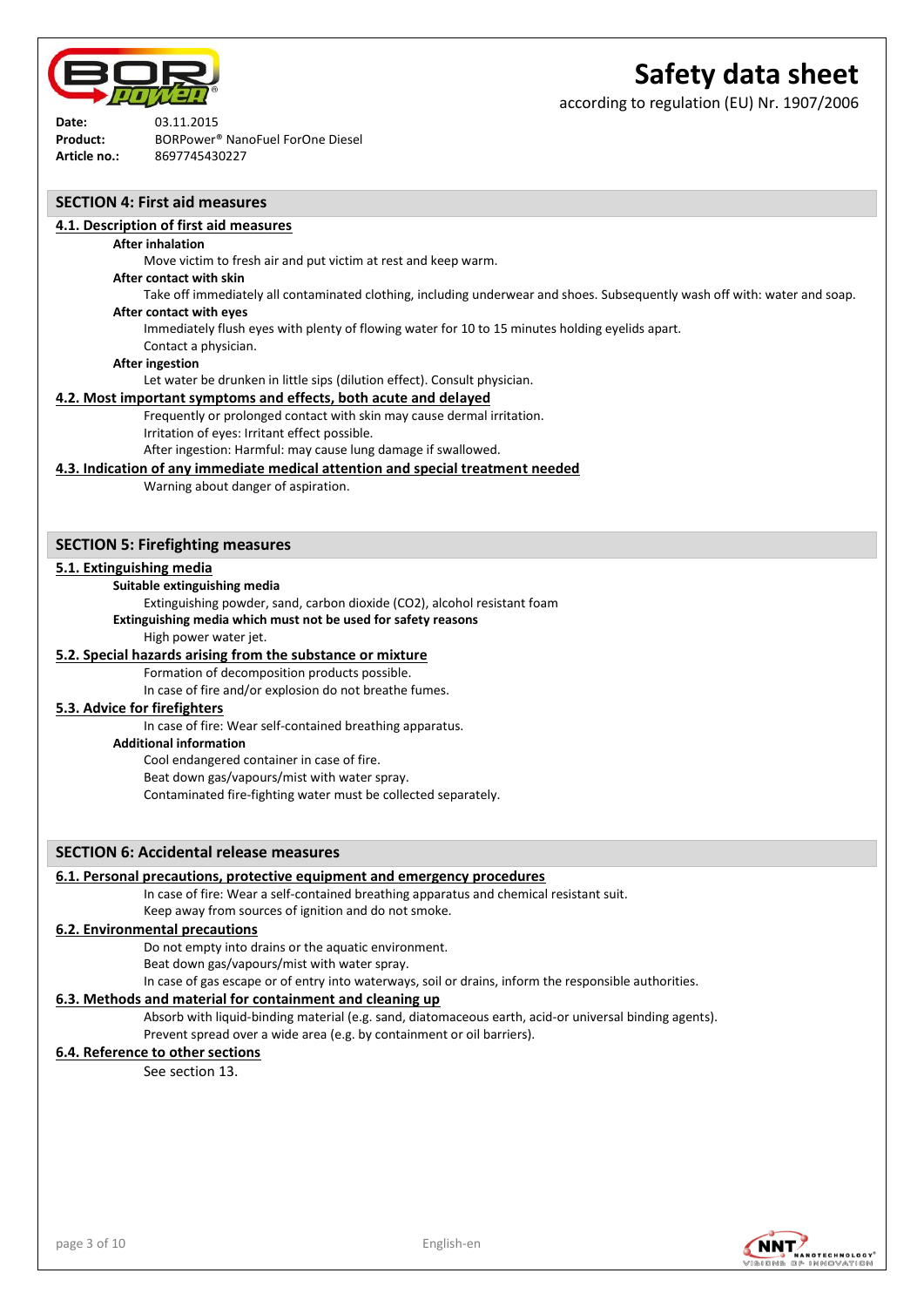

according to regulation (EU) Nr. 1907/2006

**Date:** 03.11.2015 **Product:** BORPower® NanoFuel ForOne Diesel **Article no.:** 8697745430227

## **SECTION 4: First aid measures**

#### **4.1. Description of first aid measures**

#### **After inhalation**

Move victim to fresh air and put victim at rest and keep warm.

#### **After contact with skin**

Take off immediately all contaminated clothing, including underwear and shoes. Subsequently wash off with: water and soap.

# **After contact with eyes**

Immediately flush eyes with plenty of flowing water for 10 to 15 minutes holding eyelids apart.

#### Contact a physician.

## **After ingestion**

Let water be drunken in little sips (dilution effect). Consult physician.

#### **4.2. Most important symptoms and effects, both acute and delayed**

Frequently or prolonged contact with skin may cause dermal irritation.

Irritation of eyes: Irritant effect possible.

After ingestion: Harmful: may cause lung damage if swallowed.

#### **4.3. Indication of any immediate medical attention and special treatment needed**

Warning about danger of aspiration.

## **SECTION 5: Firefighting measures**

## **5.1. Extinguishing media**

**Suitable extinguishing media**

Extinguishing powder, sand, carbon dioxide (CO2), alcohol resistant foam

**Extinguishing media which must not be used for safety reasons**

High power water jet.

## **5.2. Special hazards arising from the substance or mixture**

Formation of decomposition products possible.

In case of fire and/or explosion do not breathe fumes.

## **5.3. Advice for firefighters**

In case of fire: Wear self-contained breathing apparatus.

**Additional information**

Cool endangered container in case of fire.

Beat down gas/vapours/mist with water spray.

Contaminated fire-fighting water must be collected separately.

## **SECTION 6: Accidental release measures**

## **6.1. Personal precautions, protective equipment and emergency procedures**

In case of fire: Wear a self-contained breathing apparatus and chemical resistant suit. Keep away from sources of ignition and do not smoke.

## **6.2. Environmental precautions**

Do not empty into drains or the aquatic environment.

Beat down gas/vapours/mist with water spray.

In case of gas escape or of entry into waterways, soil or drains, inform the responsible authorities.

#### **6.3. Methods and material for containment and cleaning up**

Absorb with liquid-binding material (e.g. sand, diatomaceous earth, acid-or universal binding agents). Prevent spread over a wide area (e.g. by containment or oil barriers).

## **6.4. Reference to other sections**

See section 13.

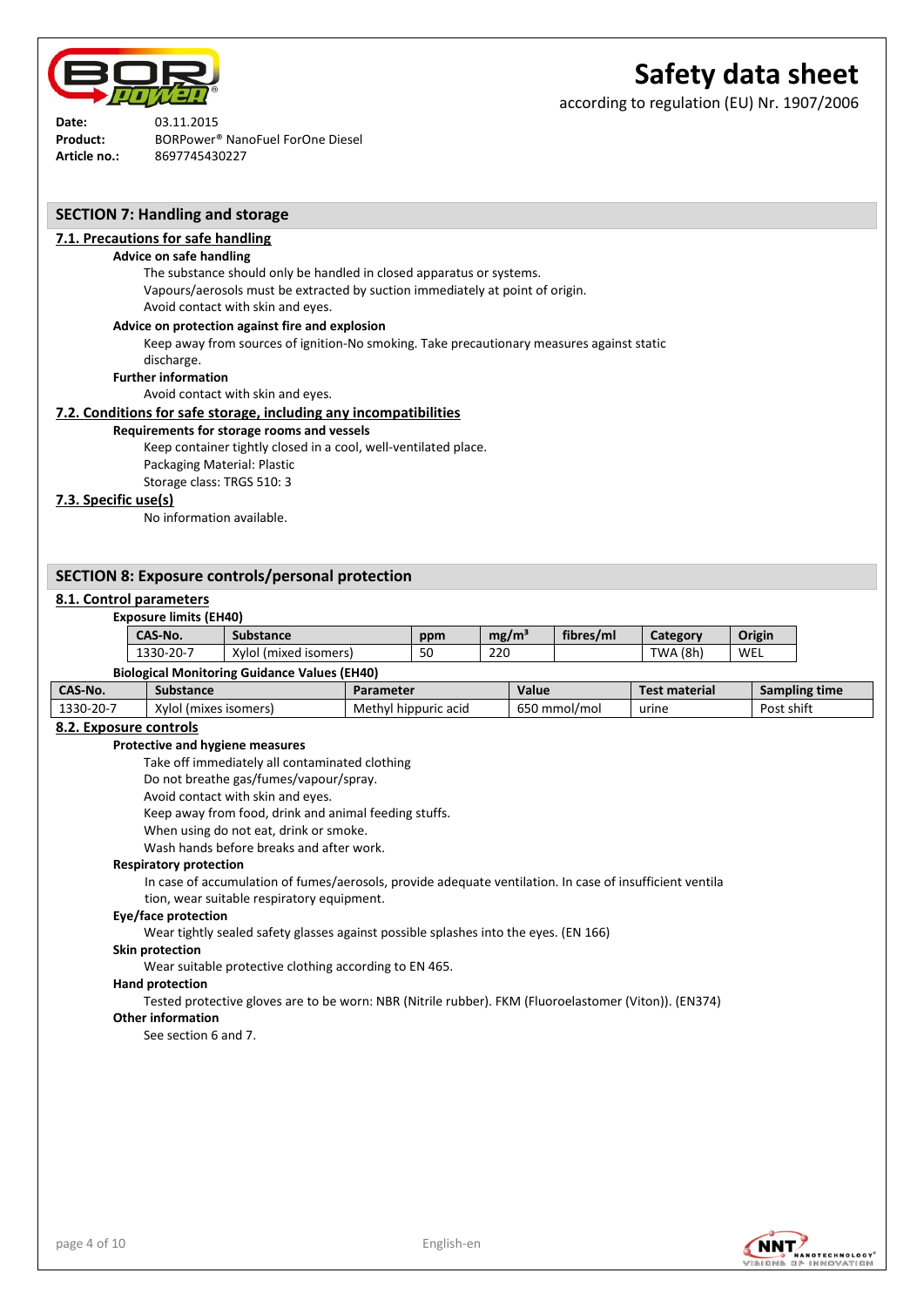

according to regulation (EU) Nr. 1907/2006

**Date:** 03.11.2015 **Product:** BORPower® NanoFuel ForOne Diesel **Article no.:** 8697745430227

## **SECTION 7: Handling and storage**

## **7.1. Precautions for safe handling**

#### **Advice on safe handling**

The substance should only be handled in closed apparatus or systems. Vapours/aerosols must be extracted by suction immediately at point of origin. Avoid contact with skin and eyes.

#### **Advice on protection against fire and explosion**

Keep away from sources of ignition-No smoking. Take precautionary measures against static

#### discharge.

**Further information**

Avoid contact with skin and eyes.

#### **7.2. Conditions for safe storage, including any incompatibilities**

#### **Requirements for storage rooms and vessels**

Keep container tightly closed in a cool, well-ventilated place.

Packaging Material: Plastic

Storage class: TRGS 510: 3

## **7.3. Specific use(s)**

No information available.

## **SECTION 8: Exposure controls/personal protection**

#### **8.1. Control parameters**

#### **Exposure limits (EH40)**

| CAS-No.   | <b>Substance</b>                                    | ppm | mg/m <sup>3</sup> | fibres/ml | Category | Origin |
|-----------|-----------------------------------------------------|-----|-------------------|-----------|----------|--------|
| 1330-20-7 | Xylol (mixed isomers)                               | 50  | 220               |           | TWA (8h) | WEL    |
|           | <b>Biological Monitoring Guidance Values (FH40)</b> |     |                   |           |          |        |

|                 | <b>PRODUCTION INTERNATIONAL SURVEYED INTO</b> |                      |              |                      |               |
|-----------------|-----------------------------------------------|----------------------|--------------|----------------------|---------------|
| CAS-No.         | Substance                                     | Parameter            | Value        | <b>Test material</b> | Sampling time |
| $1330 - 20 - 7$ | Xylol (mixes isomers)                         | Methyl hippuric acid | 650 mmol/mol | urine                | Post shift    |

## **8.2. Exposure controls**

#### **Protective and hygiene measures**

Take off immediately all contaminated clothing

Do not breathe gas/fumes/vapour/spray.

Avoid contact with skin and eyes.

Keep away from food, drink and animal feeding stuffs.

When using do not eat, drink or smoke.

Wash hands before breaks and after work.

#### **Respiratory protection**

In case of accumulation of fumes/aerosols, provide adequate ventilation. In case of insufficient ventila tion, wear suitable respiratory equipment.

# **Eye/face protection**

Wear tightly sealed safety glasses against possible splashes into the eyes. (EN 166)

#### **Skin protection**

Wear suitable protective clothing according to EN 465.

#### **Hand protection**

Tested protective gloves are to be worn: NBR (Nitrile rubber). FKM (Fluoroelastomer (Viton)). (EN374)

# **Other information**

See section 6 and 7.

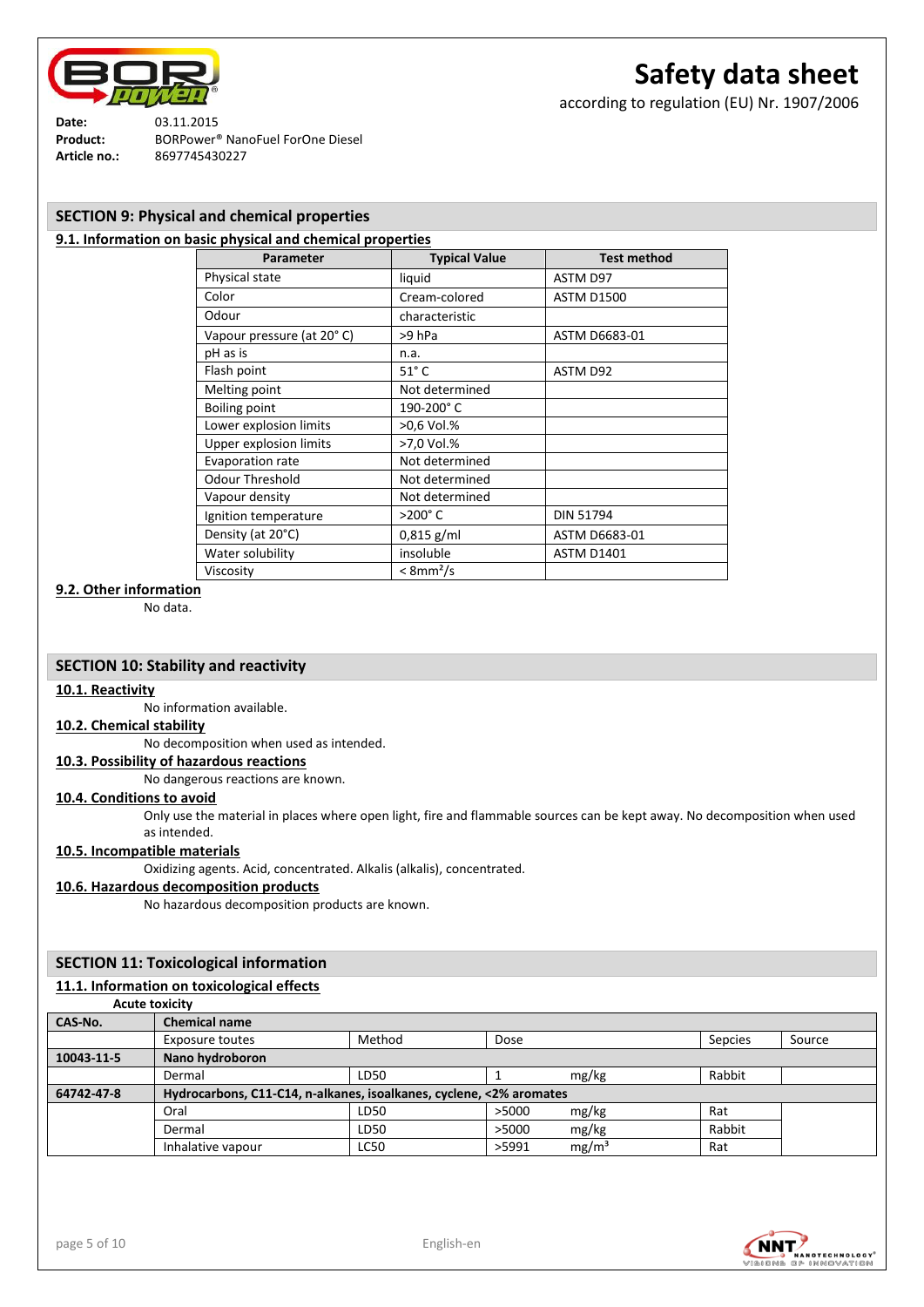

according to regulation (EU) Nr. 1907/2006

**Date:** 03.11.2015 **Product:** BORPower® NanoFuel ForOne Diesel **Article no.:** 8697745430227

## **SECTION 9: Physical and chemical properties**

## **9.1. Information on basic physical and chemical properties**

| Parameter                 | <b>Typical Value</b>    | <b>Test method</b> |
|---------------------------|-------------------------|--------------------|
| Physical state            | liquid                  | ASTM D97           |
| Color                     | Cream-colored           | <b>ASTM D1500</b>  |
| Odour                     | characteristic          |                    |
| Vapour pressure (at 20°C) | >9 hPa                  | ASTM D6683-01      |
| pH as is                  | n.a.                    |                    |
| Flash point               | $51^\circ C$            | ASTM D92           |
| Melting point             | Not determined          |                    |
| <b>Boiling point</b>      | 190-200°C               |                    |
| Lower explosion limits    | >0,6 Vol.%              |                    |
| Upper explosion limits    | >7,0 Vol.%              |                    |
| <b>Evaporation rate</b>   | Not determined          |                    |
| <b>Odour Threshold</b>    | Not determined          |                    |
| Vapour density            | Not determined          |                    |
| Ignition temperature      | $>200^\circ C$          | <b>DIN 51794</b>   |
| Density (at 20°C)         | $0,815$ g/ml            | ASTM D6683-01      |
| Water solubility          | insoluble               | <b>ASTM D1401</b>  |
| Viscosity                 | $<$ 8mm <sup>2</sup> /s |                    |

## **9.2. Other information**

No data.

## **SECTION 10: Stability and reactivity**

## **10.1. Reactivity**

No information available.

## **10.2. Chemical stability**

No decomposition when used as intended.

## **10.3. Possibility of hazardous reactions**

No dangerous reactions are known.

#### **10.4. Conditions to avoid**

Only use the material in places where open light, fire and flammable sources can be kept away. No decomposition when used as intended.

## **10.5. Incompatible materials**

Oxidizing agents. Acid, concentrated. Alkalis (alkalis), concentrated.

#### **10.6. Hazardous decomposition products**

No hazardous decomposition products are known.

## **SECTION 11: Toxicological information**

## **11.1. Information on toxicological effects**

**Acute toxicity**

| CAS-No.    | <b>Chemical name</b>                                                |             |                            |         |        |
|------------|---------------------------------------------------------------------|-------------|----------------------------|---------|--------|
|            | Exposure toutes                                                     | Method      | Dose                       | Sepcies | Source |
| 10043-11-5 | Nano hydroboron                                                     |             |                            |         |        |
|            | Dermal                                                              | LD50        | mg/kg                      | Rabbit  |        |
| 64742-47-8 | Hydrocarbons, C11-C14, n-alkanes, isoalkanes, cyclene, <2% aromates |             |                            |         |        |
|            | Oral                                                                | LD50        | >5000<br>mg/kg             | Rat     |        |
|            | Dermal                                                              | LD50        | mg/kg<br>>5000             | Rabbit  |        |
|            | Inhalative vapour                                                   | <b>LC50</b> | mg/m <sup>3</sup><br>>5991 | Rat     |        |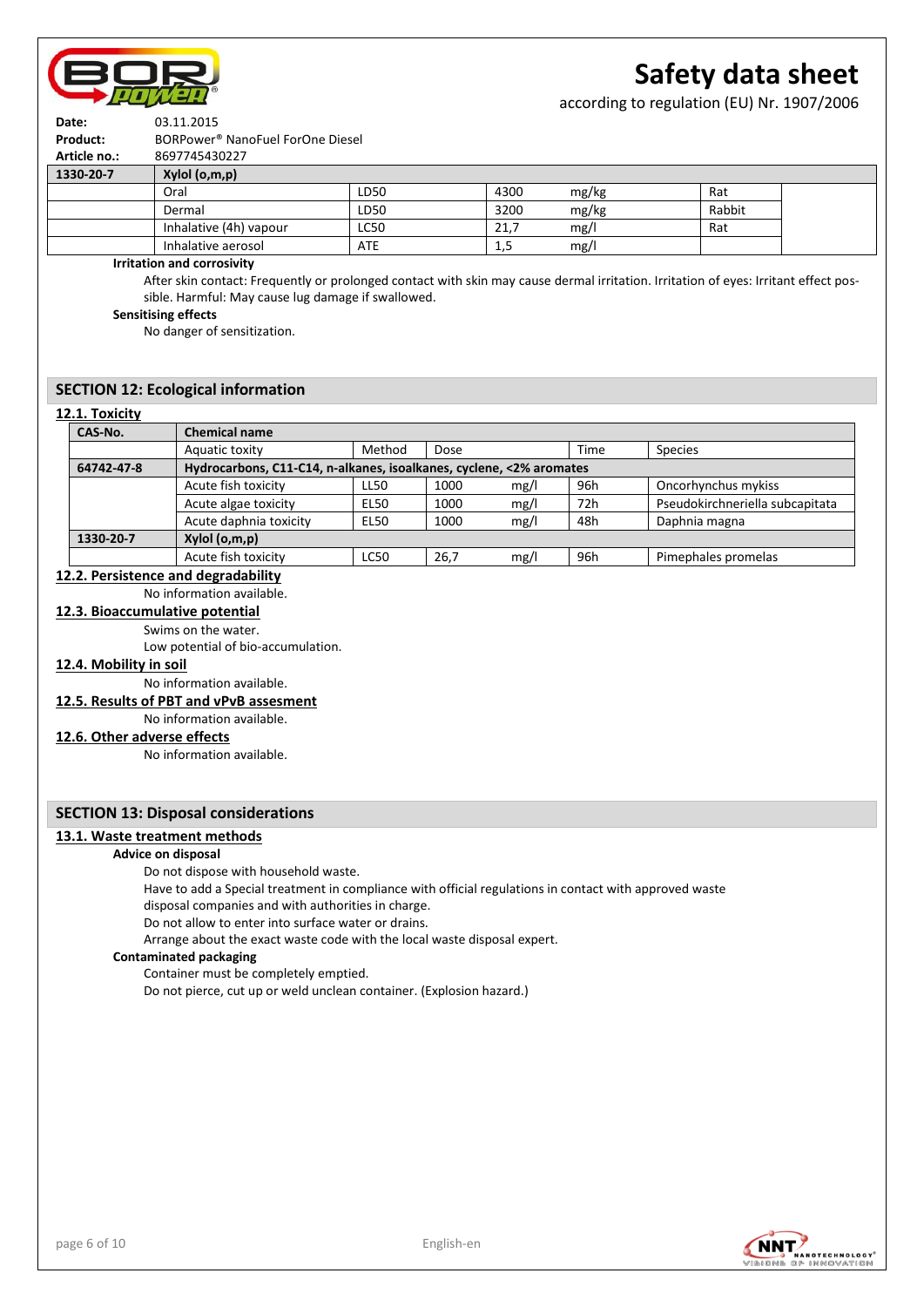

according to regulation (EU) Nr. 1907/2006



| 1.222222     | $\mathbf{M}$ and $\mathbf{M}$ and $\mathbf{M}$ |
|--------------|------------------------------------------------|
| Article no.: | 8697745430227                                  |
| Product:     | BORPower <sup>®</sup> NanoFuel ForOne Diesel   |
| Date:        | 03.11.2015                                     |

| 1330-20-7 | Xylol (o,m,p)          |             |      |       |        |  |
|-----------|------------------------|-------------|------|-------|--------|--|
|           | Oral                   | LD50        | 4300 | mg/kg | Rat    |  |
|           | Dermal                 | LD50        | 3200 | mg/kg | Rabbit |  |
|           | Inhalative (4h) vapour | <b>LC50</b> | 21,  | mg/   | Rat    |  |
|           | Inhalative aerosol     | <b>ATE</b>  | ر 1  | mg/   |        |  |

**Irritation and corrosivity**

After skin contact: Frequently or prolonged contact with skin may cause dermal irritation. Irritation of eyes: Irritant effect possible. Harmful: May cause lug damage if swallowed.

**Sensitising effects**

No danger of sensitization.

## **SECTION 12: Ecological information**

#### **12.1. Toxicity**

| CAS-No.    | <b>Chemical name</b>   |                                                                     |      |      |      |                                 |
|------------|------------------------|---------------------------------------------------------------------|------|------|------|---------------------------------|
|            | Aquatic toxity         | Method                                                              | Dose |      | Time | <b>Species</b>                  |
| 64742-47-8 |                        | Hydrocarbons, C11-C14, n-alkanes, isoalkanes, cyclene, <2% aromates |      |      |      |                                 |
|            | Acute fish toxicity    | LL50                                                                | 1000 | mg/l | 96h  | Oncorhynchus mykiss             |
|            | Acute algae toxicity   | EL50                                                                | 1000 | mg/l | 72h  | Pseudokirchneriella subcapitata |
|            | Acute daphnia toxicity | <b>EL50</b>                                                         | 1000 | mg/l | 48h  | Daphnia magna                   |
| 1330-20-7  | Xylol (o,m,p)          |                                                                     |      |      |      |                                 |
|            | Acute fish toxicity    | <b>LC50</b>                                                         | 26,7 | mg/l | 96h  | Pimephales promelas             |

## **12.2. Persistence and degradability**

No information available.

## **12.3. Bioaccumulative potential**

Swims on the water.

Low potential of bio-accumulation.

## **12.4. Mobility in soil**

## No information available.

**12.5. Results of PBT and vPvB assesment** No information available.

# **12.6. Other adverse effects**

No information available.

## **SECTION 13: Disposal considerations**

## **13.1. Waste treatment methods**

#### **Advice on disposal**

Do not dispose with household waste.

Have to add a Special treatment in compliance with official regulations in contact with approved waste

disposal companies and with authorities in charge.

Do not allow to enter into surface water or drains.

Arrange about the exact waste code with the local waste disposal expert.

## **Contaminated packaging**

Container must be completely emptied. Do not pierce, cut up or weld unclean container. (Explosion hazard.)

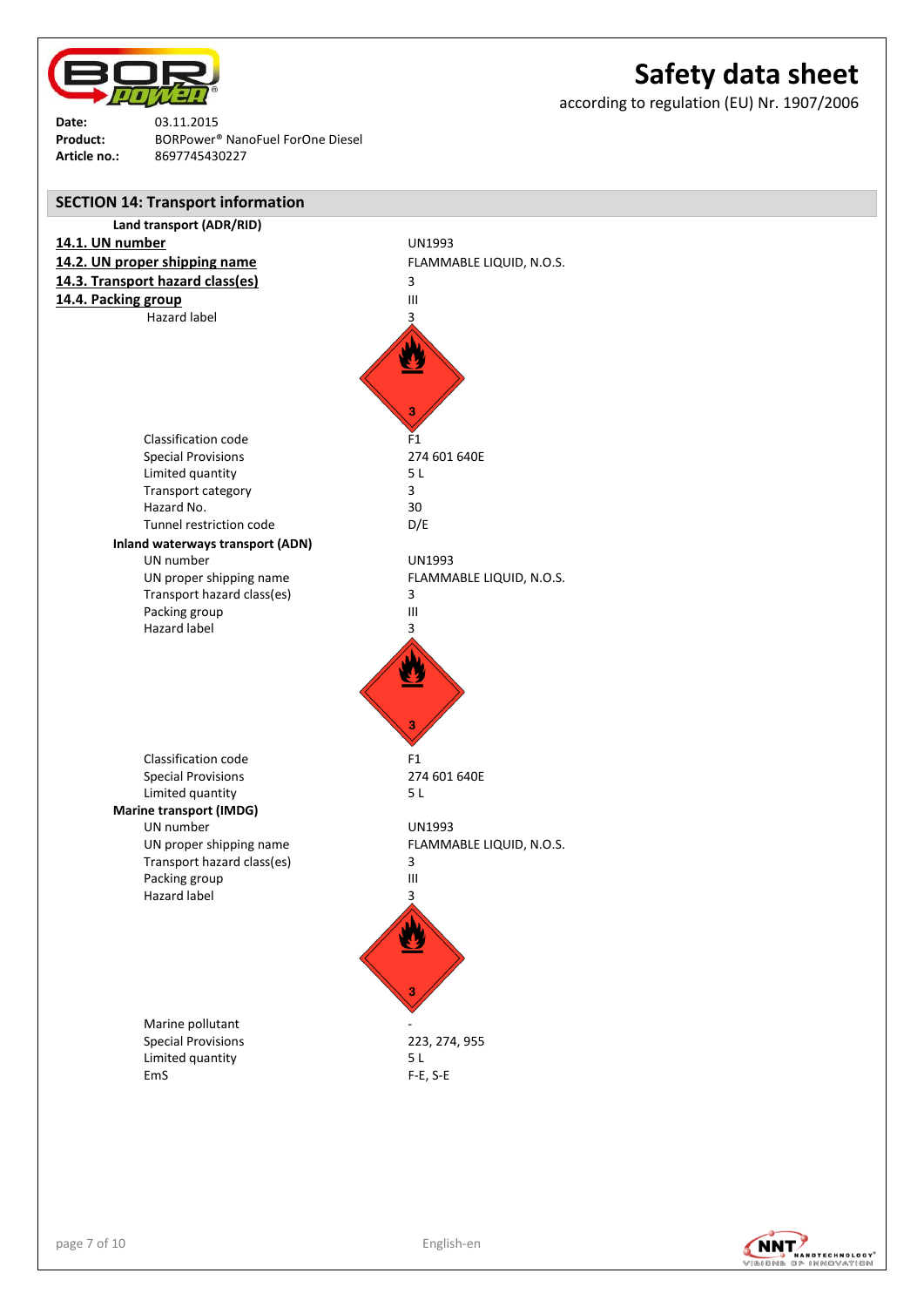

according to regulation (EU) Nr. 1907/2006

**Date:** 03.11.2015 **Product:** BORPower® NanoFuel ForOne Diesel **Article no.:** 8697745430227



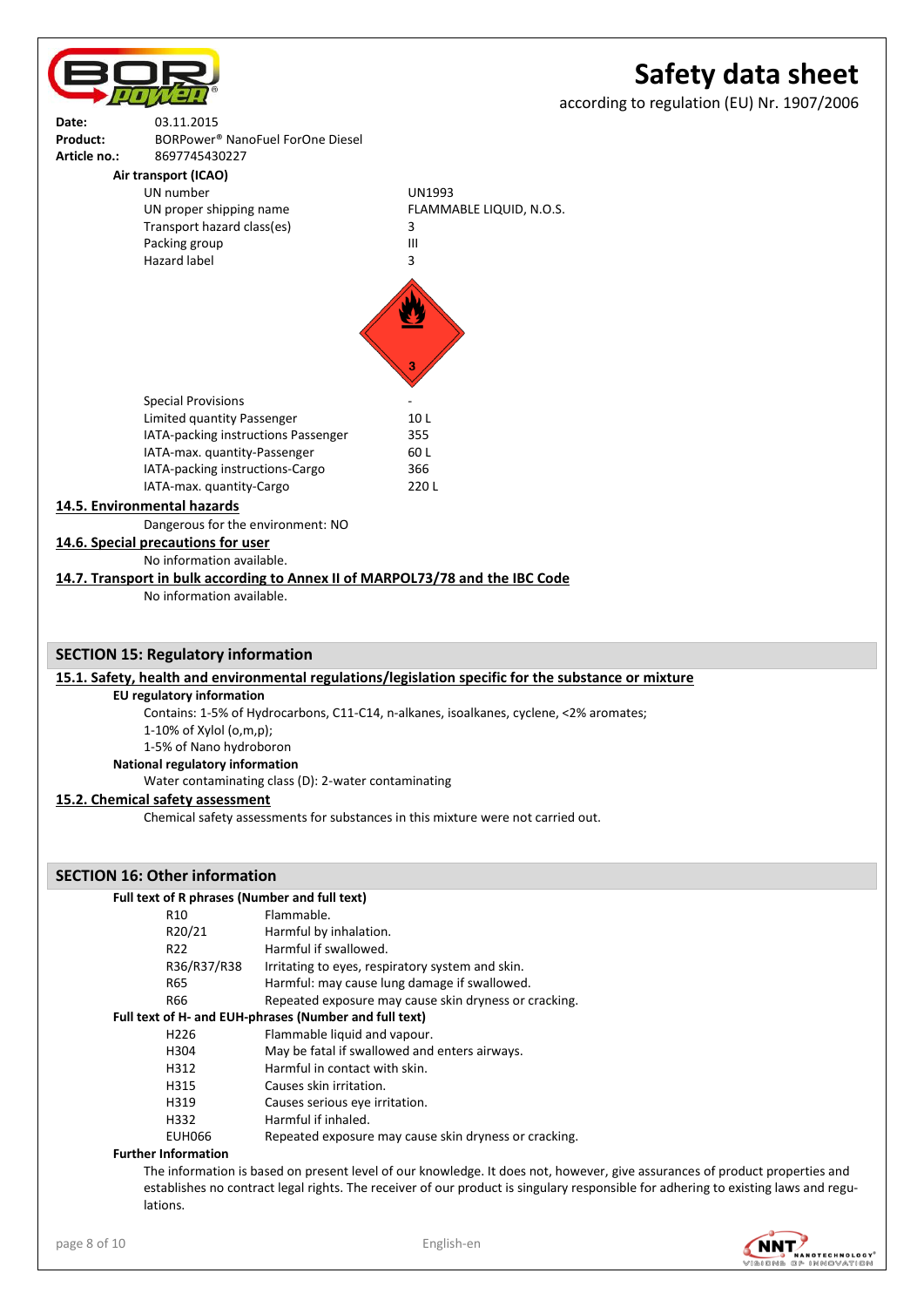# **Safety data sheet** according to regulation (EU) Nr. 1907/2006 **Date:** 03.11.2015 **Product:** BORPower® NanoFuel ForOne Diesel **Article no.:** 8697745430227 **Air transport (ICAO)** UN number UN1993 UN proper shipping name FLAMMABLE LIQUID, N.O.S. Transport hazard class(es) 3 Packing group and all the state of the III Hazard label 3 Special Provisions Limited quantity Passenger 10 L IATA-packing instructions Passenger 355 IATA-max. quantity-Passenger 60 L IATA-packing instructions-Cargo 366 IATA-max. quantity-Cargo 220 L **14.5. Environmental hazards** Dangerous for the environment: NO **14.6. Special precautions for user** No information available. **14.7. Transport in bulk according to Annex II of MARPOL73/78 and the IBC Code** No information available.

## **SECTION 15: Regulatory information**

## **15.1. Safety, health and environmental regulations/legislation specific for the substance or mixture**

## **EU regulatory information**

Contains: 1-5% of Hydrocarbons, C11-C14, n-alkanes, isoalkanes, cyclene, <2% aromates; 1-10% of Xylol (o,m,p);

1-5% of Nano hydroboron

**National regulatory information**

Water contaminating class (D): 2-water contaminating

## **15.2. Chemical safety assessment**

Chemical safety assessments for substances in this mixture were not carried out.

## **SECTION 16: Other information**

## **Full text of R phrases (Number and full text)**

| R10              | Flammable.                                             |
|------------------|--------------------------------------------------------|
| R20/21           | Harmful by inhalation.                                 |
| R <sub>22</sub>  | Harmful if swallowed.                                  |
| R36/R37/R38      | Irritating to eyes, respiratory system and skin.       |
| R65              | Harmful: may cause lung damage if swallowed.           |
| R66              | Repeated exposure may cause skin dryness or cracking.  |
|                  | Full text of H- and EUH-phrases (Number and full text) |
| H <sub>226</sub> | Flammable liquid and vapour.                           |
| H304             | May be fatal if swallowed and enters airways.          |
| H312             | Harmful in contact with skin.                          |
| H315             | Causes skin irritation.                                |
| H319             | Causes serious eye irritation.                         |
| H332             | Harmful if inhaled.                                    |
| <b>EUH066</b>    | Repeated exposure may cause skin dryness or cracking.  |
|                  |                                                        |

## **Further Information**

The information is based on present level of our knowledge. It does not, however, give assurances of product properties and establishes no contract legal rights. The receiver of our product is singulary responsible for adhering to existing laws and regulations.

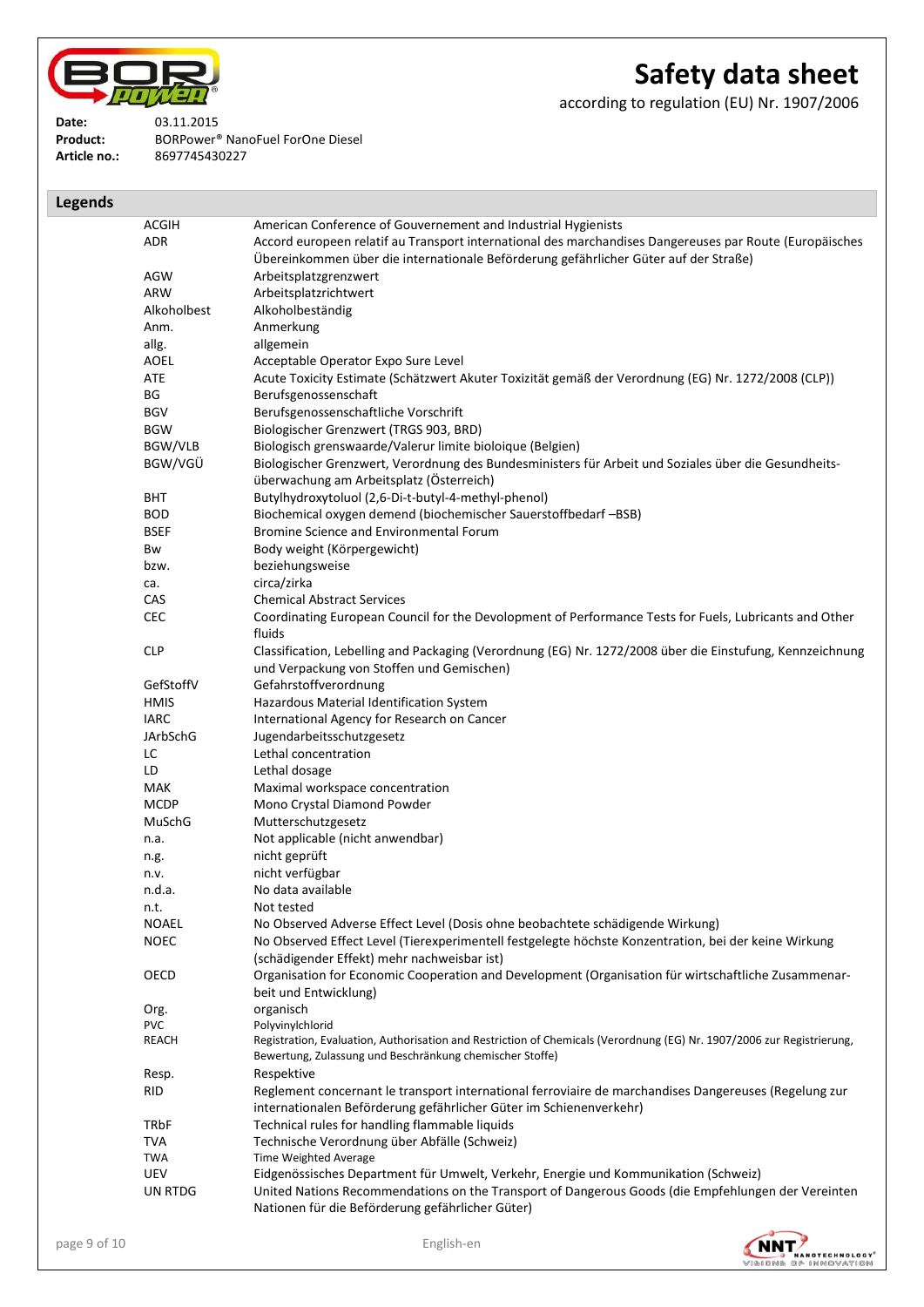

**Product:** BORPower® NanoFuel ForOne Diesel

# **Safety data sheet**

according to regulation (EU) Nr. 1907/2006

**Date:** 03.11.2015<br>**Product:** BORPower<sup>®</sup>

**Article no.:** 8697745430227

| <b>Legends</b> |                 |                                                                                                                                                                                                 |
|----------------|-----------------|-------------------------------------------------------------------------------------------------------------------------------------------------------------------------------------------------|
|                | <b>ACGIH</b>    | American Conference of Gouvernement and Industrial Hygienists                                                                                                                                   |
|                | <b>ADR</b>      | Accord europeen relatif au Transport international des marchandises Dangereuses par Route (Europäisches<br>Übereinkommen über die internationale Beförderung gefährlicher Güter auf der Straße) |
|                | AGW             | Arbeitsplatzgrenzwert                                                                                                                                                                           |
|                | ARW             | Arbeitsplatzrichtwert                                                                                                                                                                           |
|                | Alkoholbest     | Alkoholbeständig                                                                                                                                                                                |
|                | Anm.            | Anmerkung                                                                                                                                                                                       |
|                | allg.           | allgemein                                                                                                                                                                                       |
|                | <b>AOEL</b>     | Acceptable Operator Expo Sure Level                                                                                                                                                             |
|                | ATE             | Acute Toxicity Estimate (Schätzwert Akuter Toxizität gemäß der Verordnung (EG) Nr. 1272/2008 (CLP))                                                                                             |
|                | ΒG              | Berufsgenossenschaft                                                                                                                                                                            |
|                | <b>BGV</b>      | Berufsgenossenschaftliche Vorschrift                                                                                                                                                            |
|                | <b>BGW</b>      | Biologischer Grenzwert (TRGS 903, BRD)                                                                                                                                                          |
|                | BGW/VLB         | Biologisch grenswaarde/Valerur limite bioloique (Belgien)                                                                                                                                       |
|                | BGW/VGÜ         | Biologischer Grenzwert, Verordnung des Bundesministers für Arbeit und Soziales über die Gesundheits-                                                                                            |
|                |                 | überwachung am Arbeitsplatz (Österreich)                                                                                                                                                        |
|                | <b>BHT</b>      | Butylhydroxytoluol (2,6-Di-t-butyl-4-methyl-phenol)                                                                                                                                             |
|                | <b>BOD</b>      | Biochemical oxygen demend (biochemischer Sauerstoffbedarf -BSB)                                                                                                                                 |
|                | <b>BSEF</b>     | Bromine Science and Environmental Forum                                                                                                                                                         |
|                | Bw              | Body weight (Körpergewicht)                                                                                                                                                                     |
|                | bzw.            | beziehungsweise                                                                                                                                                                                 |
|                | ca.             | circa/zirka                                                                                                                                                                                     |
|                | CAS             | <b>Chemical Abstract Services</b>                                                                                                                                                               |
|                | <b>CEC</b>      | Coordinating European Council for the Devolopment of Performance Tests for Fuels, Lubricants and Other                                                                                          |
|                |                 | fluids                                                                                                                                                                                          |
|                | <b>CLP</b>      | Classification, Lebelling and Packaging (Verordnung (EG) Nr. 1272/2008 über die Einstufung, Kennzeichnung<br>und Verpackung von Stoffen und Gemischen)                                          |
|                | GefStoffV       | Gefahrstoffverordnung                                                                                                                                                                           |
|                | <b>HMIS</b>     | Hazardous Material Identification System                                                                                                                                                        |
|                | <b>IARC</b>     | International Agency for Research on Cancer                                                                                                                                                     |
|                | <b>JArbSchG</b> | Jugendarbeitsschutzgesetz                                                                                                                                                                       |
|                | LC              | Lethal concentration                                                                                                                                                                            |
|                | LD              | Lethal dosage                                                                                                                                                                                   |
|                | <b>MAK</b>      | Maximal workspace concentration                                                                                                                                                                 |
|                | <b>MCDP</b>     | Mono Crystal Diamond Powder                                                                                                                                                                     |
|                | MuSchG          | Mutterschutzgesetz                                                                                                                                                                              |
|                | n.a.            | Not applicable (nicht anwendbar)                                                                                                                                                                |
|                |                 | nicht geprüft                                                                                                                                                                                   |
|                | n.g.<br>n.v.    | nicht verfügbar                                                                                                                                                                                 |
|                | n.d.a.          | No data available                                                                                                                                                                               |
|                | n.t.            | Not tested                                                                                                                                                                                      |
|                | <b>NOAEL</b>    | No Observed Adverse Effect Level (Dosis ohne beobachtete schädigende Wirkung)                                                                                                                   |
|                | <b>NOEC</b>     | No Observed Effect Level (Tierexperimentell festgelegte höchste Konzentration, bei der keine Wirkung                                                                                            |
|                |                 | (schädigender Effekt) mehr nachweisbar ist)                                                                                                                                                     |
|                | OECD            | Organisation for Economic Cooperation and Development (Organisation für wirtschaftliche Zusammenar-                                                                                             |
|                |                 | beit und Entwicklung)                                                                                                                                                                           |
|                | Org.            | organisch                                                                                                                                                                                       |
|                | <b>PVC</b>      | Polyvinylchlorid                                                                                                                                                                                |
|                | REACH           | Registration, Evaluation, Authorisation and Restriction of Chemicals (Verordnung (EG) Nr. 1907/2006 zur Registrierung,<br>Bewertung, Zulassung und Beschränkung chemischer Stoffe)              |
|                |                 | Respektive                                                                                                                                                                                      |
|                | Resp.           |                                                                                                                                                                                                 |
|                | RID             | Reglement concernant le transport international ferroviaire de marchandises Dangereuses (Regelung zur<br>internationalen Beförderung gefährlicher Güter im Schienenverkehr)                     |
|                | <b>TRbF</b>     | Technical rules for handling flammable liquids                                                                                                                                                  |
|                | <b>TVA</b>      | Technische Verordnung über Abfälle (Schweiz)                                                                                                                                                    |
|                | <b>TWA</b>      | Time Weighted Average                                                                                                                                                                           |
|                | <b>UEV</b>      | Eidgenössisches Department für Umwelt, Verkehr, Energie und Kommunikation (Schweiz)                                                                                                             |
|                | <b>UN RTDG</b>  | United Nations Recommendations on the Transport of Dangerous Goods (die Empfehlungen der Vereinten                                                                                              |
|                |                 | Nationen für die Beförderung gefährlicher Güter)                                                                                                                                                |